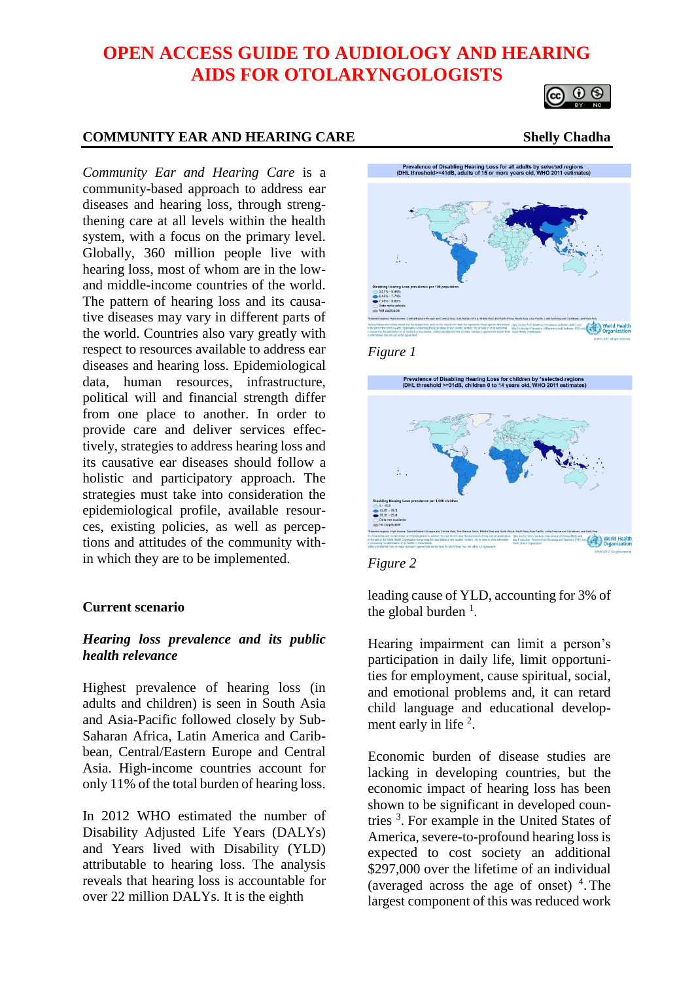# **OPEN ACCESS GUIDE TO AUDIOLOGY AND HEARING AIDS FOR OTOLARYNGOLOGISTS**



#### **COMMUNITY EAR AND HEARING CARE Shelly Chadha**

*Community Ear and Hearing Care* is a community-based approach to address ear diseases and hearing loss, through strengthening care at all levels within the health system, with a focus on the primary level. Globally, 360 million people live with hearing loss, most of whom are in the lowand middle-income countries of the world. The pattern of hearing loss and its causative diseases may vary in different parts of the world. Countries also vary greatly with respect to resources available to address ear diseases and hearing loss. Epidemiological data, human resources, infrastructure, political will and financial strength differ from one place to another. In order to provide care and deliver services effectively, strategies to address hearing loss and its causative ear diseases should follow a holistic and participatory approach. The strategies must take into consideration the epidemiological profile, available resources, existing policies, as well as perceptions and attitudes of the community within which they are to be implemented.

#### **Current scenario**

## *Hearing loss prevalence and its public health relevance*

Highest prevalence of hearing loss (in adults and children) is seen in South Asia and Asia-Pacific followed closely by Sub-Saharan Africa, Latin America and Caribbean, Central/Eastern Europe and Central Asia. High-income countries account for only 11% of the total burden of hearing loss.

In 2012 WHO estimated the number of Disability Adjusted Life Years (DALYs) and Years lived with Disability (YLD) attributable to hearing loss. The analysis reveals that hearing loss is accountable for over 22 million DALYs. It is the eighth







*Figure 2*

leading cause of YLD, accounting for 3% of the global burden  $<sup>1</sup>$ .</sup>

Hearing impairment can limit a person's participation in daily life, limit opportunities for employment, cause spiritual, social, and emotional problems and, it can retard child language and educational development early in life  $2$ .

Economic burden of disease studies are lacking in developing countries, but the economic impact of hearing loss has been shown to be significant in developed countries <sup>3</sup> . For example in the United States of America, severe-to-profound hearing loss is expected to cost society an additional \$297,000 over the lifetime of an individual (averaged across the age of onset)  $4$ . The largest component of this was reduced work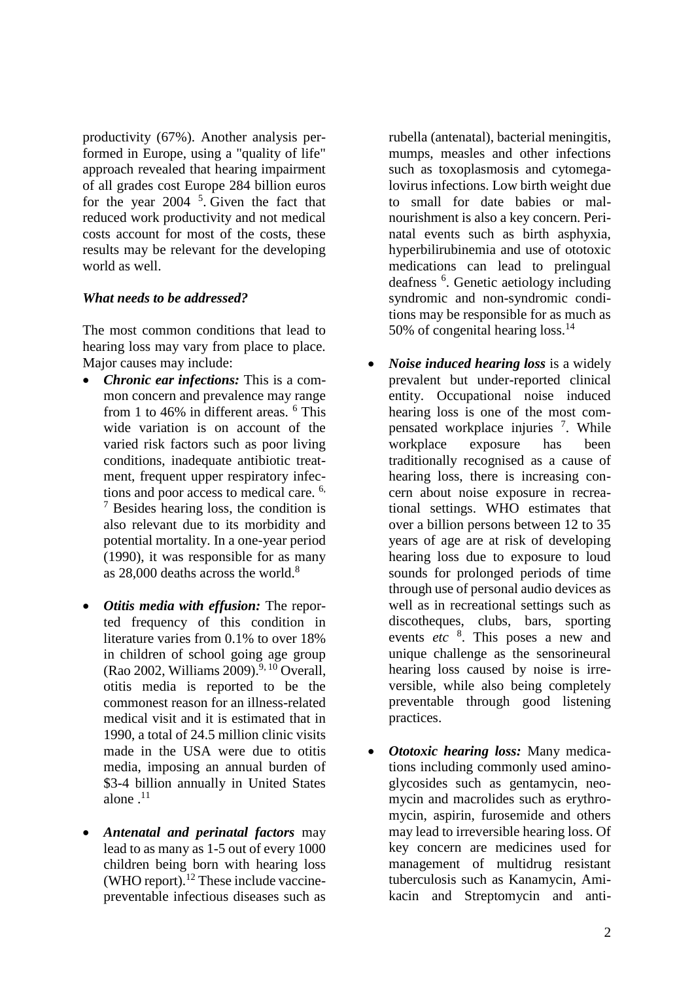productivity (67%). Another analysis performed in Europe, using a "quality of life" approach revealed that hearing impairment of all grades cost Europe 284 billion euros for the year  $2004$ <sup>5</sup>. Given the fact that reduced work productivity and not medical costs account for most of the costs, these results may be relevant for the developing world as well.

## *What needs to be addressed?*

The most common conditions that lead to hearing loss may vary from place to place. Major causes may include:

- *Chronic ear infections:* This is a common concern and prevalence may range from 1 to 46% in different areas. <sup>6</sup> This wide variation is on account of the varied risk factors such as poor living conditions, inadequate antibiotic treatment, frequent upper respiratory infections and poor access to medical care. 6,  $<sup>7</sup>$  Besides hearing loss, the condition is</sup> also relevant due to its morbidity and potential mortality. In a one-year period (1990), it was responsible for as many as  $28,000$  deaths across the world.<sup>8</sup>
- *Otitis media with effusion:* The reported frequency of this condition in literature varies from 0.1% to over 18% in children of school going age group (Rao 2002, Williams 2009).<sup>9, 10</sup> Overall, otitis media is reported to be the commonest reason for an illness-related medical visit and it is estimated that in 1990, a total of 24.5 million clinic visits made in the USA were due to otitis media, imposing an annual burden of \$3-4 billion annually in United States alone  $^{11}$
- *Antenatal and perinatal factors* may lead to as many as 1-5 out of every 1000 children being born with hearing loss (WHO report).<sup>12</sup> These include vaccinepreventable infectious diseases such as

rubella (antenatal), bacterial meningitis, mumps, measles and other infections such as toxoplasmosis and cytomegalovirus infections. Low birth weight due to small for date babies or malnourishment is also a key concern. Perinatal events such as birth asphyxia, hyperbilirubinemia and use of ototoxic medications can lead to prelingual deafness <sup>6</sup>. Genetic aetiology including syndromic and non-syndromic conditions may be responsible for as much as 50% of congenital hearing loss.<sup>14</sup>

- *Noise induced hearing loss* is a widely prevalent but under-reported clinical entity. Occupational noise induced hearing loss is one of the most compensated workplace injuries 7. While workplace exposure has been traditionally recognised as a cause of hearing loss, there is increasing concern about noise exposure in recreational settings. WHO estimates that over a billion persons between 12 to 35 years of age are at risk of developing hearing loss due to exposure to loud sounds for prolonged periods of time through use of personal audio devices as well as in recreational settings such as discotheques, clubs, bars, sporting events *etc* <sup>8</sup> . This poses a new and unique challenge as the sensorineural hearing loss caused by noise is irreversible, while also being completely preventable through good listening practices.
- *Ototoxic hearing loss:* Many medications including commonly used aminoglycosides such as gentamycin, neomycin and macrolides such as erythromycin, aspirin, furosemide and others may lead to irreversible hearing loss. Of key concern are medicines used for management of multidrug resistant tuberculosis such as Kanamycin, Amikacin and Streptomycin and anti-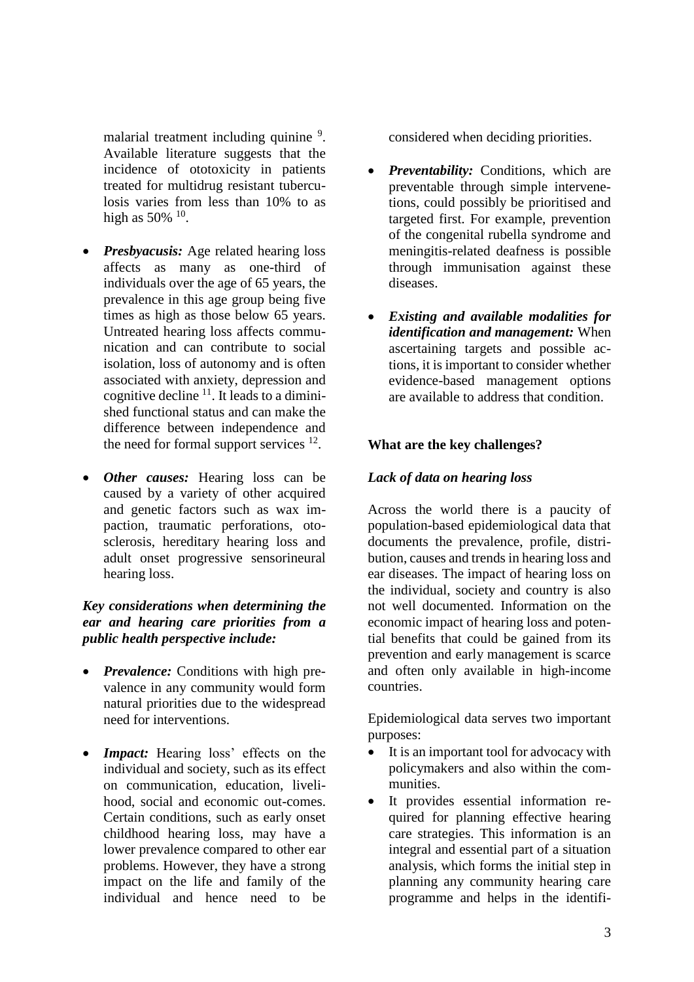malarial treatment including quinine <sup>9</sup>. Available literature suggests that the incidence of ototoxicity in patients treated for multidrug resistant tuberculosis varies from less than 10% to as high as 50%  $^{10}$ .

- *Presbyacusis:* Age related hearing loss affects as many as one-third of individuals over the age of 65 years, the prevalence in this age group being five times as high as those below 65 years. Untreated hearing loss affects communication and can contribute to social isolation, loss of autonomy and is often associated with anxiety, depression and cognitive decline  $11$ . It leads to a diminished functional status and can make the difference between independence and the need for formal support services  $12$ .
- *Other causes:* Hearing loss can be caused by a variety of other acquired and genetic factors such as wax impaction, traumatic perforations, otosclerosis, hereditary hearing loss and adult onset progressive sensorineural hearing loss.

## *Key considerations when determining the ear and hearing care priorities from a public health perspective include:*

- *Prevalence:* Conditions with high prevalence in any community would form natural priorities due to the widespread need for interventions.
- *Impact:* Hearing loss' effects on the individual and society, such as its effect on communication, education, livelihood, social and economic out-comes. Certain conditions, such as early onset childhood hearing loss, may have a lower prevalence compared to other ear problems. However, they have a strong impact on the life and family of the individual and hence need to be

considered when deciding priorities.

- *Preventability:* Conditions, which are preventable through simple intervenetions, could possibly be prioritised and targeted first. For example, prevention of the congenital rubella syndrome and meningitis-related deafness is possible through immunisation against these diseases.
- *Existing and available modalities for identification and management:* When ascertaining targets and possible actions, it is important to consider whether evidence-based management options are available to address that condition.

## **What are the key challenges?**

## *Lack of data on hearing loss*

Across the world there is a paucity of population-based epidemiological data that documents the prevalence, profile, distribution, causes and trends in hearing loss and ear diseases. The impact of hearing loss on the individual, society and country is also not well documented. Information on the economic impact of hearing loss and potential benefits that could be gained from its prevention and early management is scarce and often only available in high-income countries.

Epidemiological data serves two important purposes:

- It is an important tool for advocacy with policymakers and also within the communities.
- It provides essential information required for planning effective hearing care strategies. This information is an integral and essential part of a situation analysis, which forms the initial step in planning any community hearing care programme and helps in the identifi-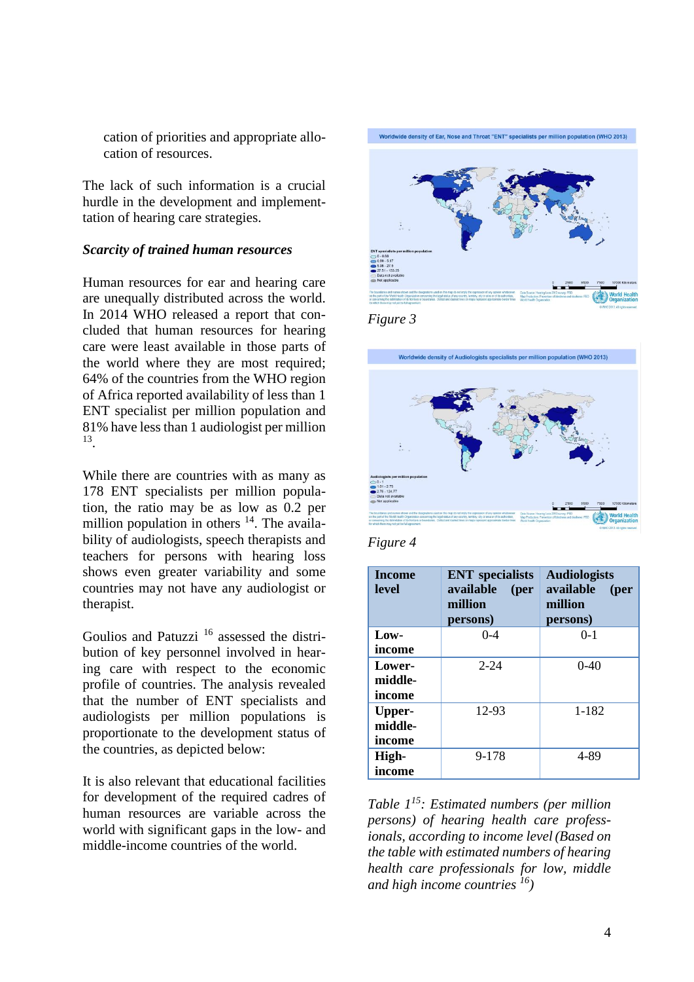cation of priorities and appropriate allocation of resources.

The lack of such information is a crucial hurdle in the development and implementtation of hearing care strategies.

#### *Scarcity of trained human resources*

Human resources for ear and hearing care are unequally distributed across the world. In 2014 WHO released a report that concluded that human resources for hearing care were least available in those parts of the world where they are most required; 64% of the countries from the WHO region of Africa reported availability of less than 1 ENT specialist per million population and 81% have less than 1 audiologist per million 13 .

While there are countries with as many as 178 ENT specialists per million population, the ratio may be as low as 0.2 per million population in others  $14$ . The availability of audiologists, speech therapists and teachers for persons with hearing loss shows even greater variability and some countries may not have any audiologist or therapist.

Goulios and Patuzzi<sup>16</sup> assessed the distribution of key personnel involved in hearing care with respect to the economic profile of countries. The analysis revealed that the number of ENT specialists and audiologists per million populations is proportionate to the development status of the countries, as depicted below:

It is also relevant that educational facilities for development of the required cadres of human resources are variable across the world with significant gaps in the low- and middle-income countries of the world.



*Figure 3*



*Figure 4*

| <b>Income</b><br>level | <b>ENT</b> specialists<br>available<br>( <b>per</b> )<br>million<br>persons) | <b>Audiologists</b><br>available<br>(per<br>million<br>persons) |
|------------------------|------------------------------------------------------------------------------|-----------------------------------------------------------------|
| Low-                   | $0 - 4$                                                                      | $0-1$                                                           |
| income                 |                                                                              |                                                                 |
| Lower-                 | $2 - 24$                                                                     | $0-40$                                                          |
| middle-                |                                                                              |                                                                 |
| income                 |                                                                              |                                                                 |
| Upper-                 | 12-93                                                                        | 1-182                                                           |
| middle-                |                                                                              |                                                                 |
| income                 |                                                                              |                                                                 |
| High-                  | 9-178                                                                        | 4-89                                                            |
| income                 |                                                                              |                                                                 |

*Table 1<sup>15</sup>: Estimated numbers (per million persons) of hearing health care professionals, according to income level (Based on the table with estimated numbers of hearing health care professionals for low, middle and high income countries <sup>16</sup>)*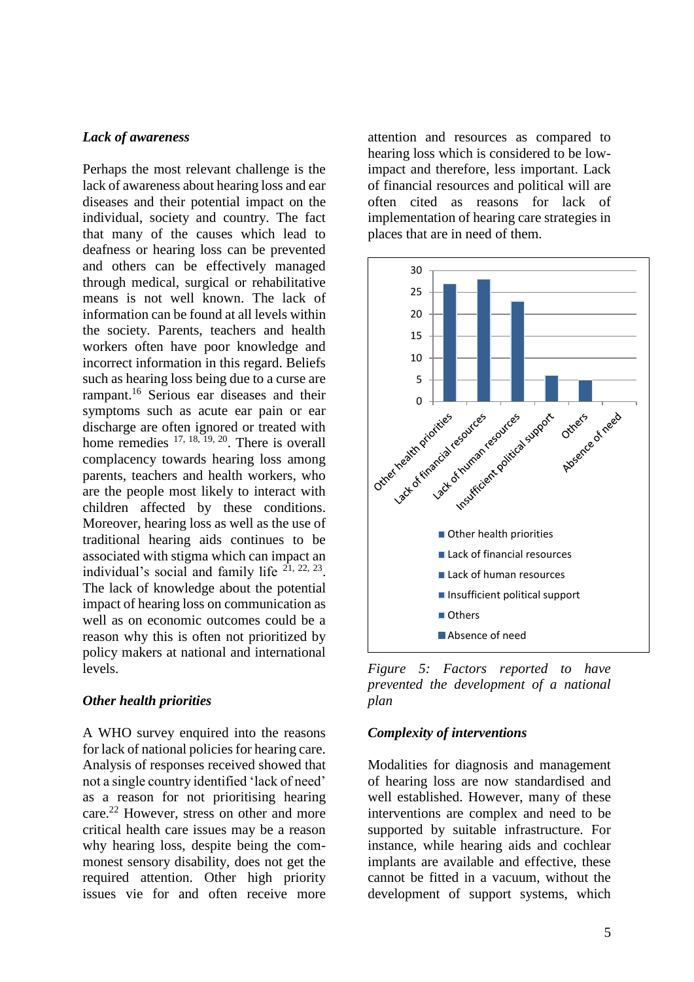#### *Lack of awareness*

Perhaps the most relevant challenge is the lack of awareness about hearing loss and ear diseases and their potential impact on the individual, society and country. The fact that many of the causes which lead to deafness or hearing loss can be prevented and others can be effectively managed through medical, surgical or rehabilitative means is not well known. The lack of information can be found at all levels within the society. Parents, teachers and health workers often have poor knowledge and incorrect information in this regard. Beliefs such as hearing loss being due to a curse are rampant.<sup>16</sup> Serious ear diseases and their symptoms such as acute ear pain or ear discharge are often ignored or treated with home remedies <sup>17, 18, 19, 20</sup>. There is overall complacency towards hearing loss among parents, teachers and health workers, who are the people most likely to interact with children affected by these conditions. Moreover, hearing loss as well as the use of traditional hearing aids continues to be associated with stigma which can impact an individual's social and family life  $21, 22, 23$ . The lack of knowledge about the potential impact of hearing loss on communication as well as on economic outcomes could be a reason why this is often not prioritized by policy makers at national and international levels.

## *Other health priorities*

A WHO survey enquired into the reasons for lack of national policies for hearing care. Analysis of responses received showed that not a single country identified 'lack of need' as a reason for not prioritising hearing care.<sup>22</sup> However, stress on other and more critical health care issues may be a reason why hearing loss, despite being the commonest sensory disability, does not get the required attention. Other high priority issues vie for and often receive more

attention and resources as compared to hearing loss which is considered to be lowimpact and therefore, less important. Lack of financial resources and political will are often cited as reasons for lack of implementation of hearing care strategies in places that are in need of them.



*Figure 5: Factors reported to have prevented the development of a national plan* 

## *Complexity of interventions*

Modalities for diagnosis and management of hearing loss are now standardised and well established. However, many of these interventions are complex and need to be supported by suitable infrastructure. For instance, while hearing aids and cochlear implants are available and effective, these cannot be fitted in a vacuum, without the development of support systems, which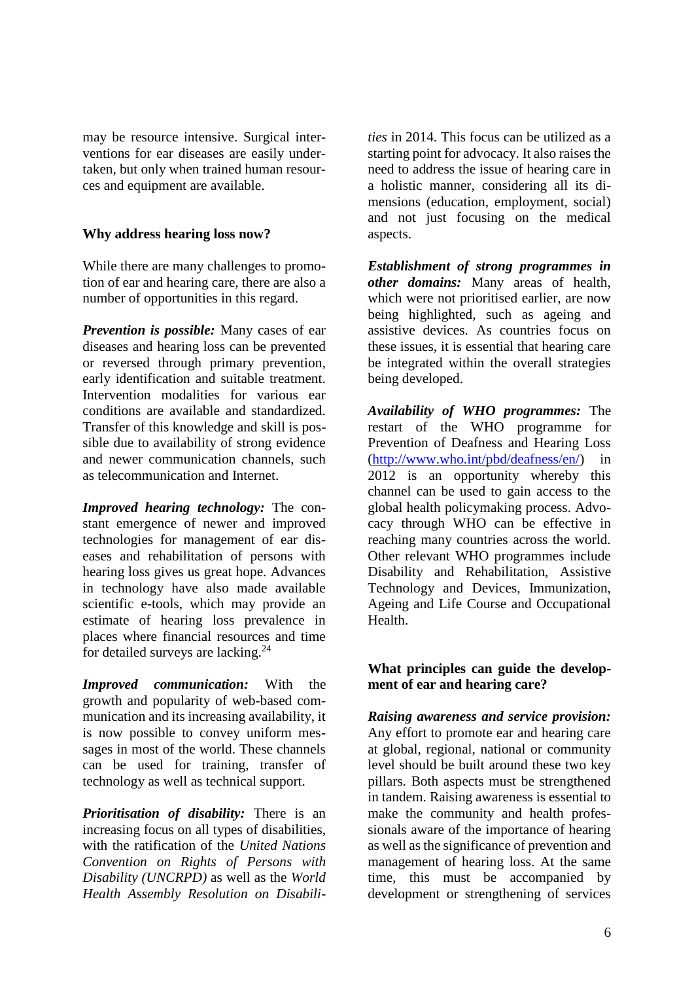may be resource intensive. Surgical interventions for ear diseases are easily undertaken, but only when trained human resources and equipment are available.

## **Why address hearing loss now?**

While there are many challenges to promotion of ear and hearing care, there are also a number of opportunities in this regard.

*Prevention is possible:* Many cases of ear diseases and hearing loss can be prevented or reversed through primary prevention, early identification and suitable treatment. Intervention modalities for various ear conditions are available and standardized. Transfer of this knowledge and skill is possible due to availability of strong evidence and newer communication channels, such as telecommunication and Internet.

*Improved hearing technology:* The constant emergence of newer and improved technologies for management of ear diseases and rehabilitation of persons with hearing loss gives us great hope. Advances in technology have also made available scientific e-tools, which may provide an estimate of hearing loss prevalence in places where financial resources and time for detailed surveys are lacking.<sup>24</sup>

*Improved communication:* With the growth and popularity of web-based communication and its increasing availability, it is now possible to convey uniform messages in most of the world. These channels can be used for training, transfer of technology as well as technical support.

*Prioritisation of disability:* There is an increasing focus on all types of disabilities, with the ratification of the *United Nations Convention on Rights of Persons with Disability (UNCRPD)* as well as the *World Health Assembly Resolution on Disabili-* *ties* in 2014. This focus can be utilized as a starting point for advocacy. It also raises the need to address the issue of hearing care in a holistic manner, considering all its dimensions (education, employment, social) and not just focusing on the medical aspects.

*Establishment of strong programmes in other domains:* Many areas of health, which were not prioritised earlier, are now being highlighted, such as ageing and assistive devices. As countries focus on these issues, it is essential that hearing care be integrated within the overall strategies being developed.

*Availability of WHO programmes:* The restart of the WHO programme for Prevention of Deafness and Hearing Loss [\(http://www.who.int/pbd/deafness/en/\)](http://www.who.int/pbd/deafness/en/) in 2012 is an opportunity whereby this channel can be used to gain access to the global health policymaking process. Advocacy through WHO can be effective in reaching many countries across the world. Other relevant WHO programmes include Disability and Rehabilitation, Assistive Technology and Devices, Immunization, Ageing and Life Course and Occupational Health.

## **What principles can guide the development of ear and hearing care?**

*Raising awareness and service provision:* Any effort to promote ear and hearing care at global, regional, national or community level should be built around these two key pillars. Both aspects must be strengthened in tandem. Raising awareness is essential to make the community and health professionals aware of the importance of hearing as well as the significance of prevention and management of hearing loss. At the same time, this must be accompanied by development or strengthening of services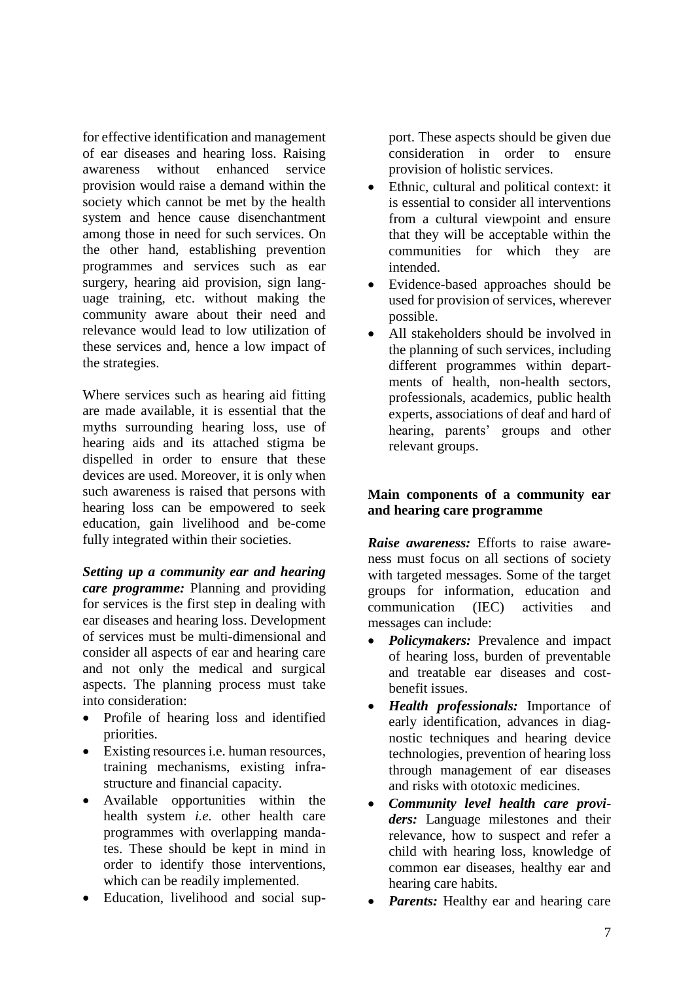for effective identification and management of ear diseases and hearing loss. Raising awareness without enhanced service provision would raise a demand within the society which cannot be met by the health system and hence cause disenchantment among those in need for such services. On the other hand, establishing prevention programmes and services such as ear surgery, hearing aid provision, sign language training, etc. without making the community aware about their need and relevance would lead to low utilization of these services and, hence a low impact of the strategies.

Where services such as hearing aid fitting are made available, it is essential that the myths surrounding hearing loss, use of hearing aids and its attached stigma be dispelled in order to ensure that these devices are used. Moreover, it is only when such awareness is raised that persons with hearing loss can be empowered to seek education, gain livelihood and be-come fully integrated within their societies.

*Setting up a community ear and hearing care programme:* Planning and providing for services is the first step in dealing with ear diseases and hearing loss. Development of services must be multi-dimensional and consider all aspects of ear and hearing care and not only the medical and surgical aspects. The planning process must take into consideration:

- Profile of hearing loss and identified priorities.
- Existing resources *i.e.* human resources, training mechanisms, existing infrastructure and financial capacity.
- Available opportunities within the health system *i.e.* other health care programmes with overlapping mandates. These should be kept in mind in order to identify those interventions, which can be readily implemented.
- Education, livelihood and social sup-

port. These aspects should be given due consideration in order to ensure provision of holistic services.

- Ethnic, cultural and political context: it is essential to consider all interventions from a cultural viewpoint and ensure that they will be acceptable within the communities for which they are intended.
- Evidence-based approaches should be used for provision of services, wherever possible.
- All stakeholders should be involved in the planning of such services, including different programmes within departments of health, non-health sectors, professionals, academics, public health experts, associations of deaf and hard of hearing, parents' groups and other relevant groups.

## **Main components of a community ear and hearing care programme**

*Raise awareness:* Efforts to raise awareness must focus on all sections of society with targeted messages. Some of the target groups for information, education and communication (IEC) activities and messages can include:

- *Policymakers:* Prevalence and impact of hearing loss, burden of preventable and treatable ear diseases and costbenefit issues.
- *Health professionals:* Importance of early identification, advances in diagnostic techniques and hearing device technologies, prevention of hearing loss through management of ear diseases and risks with ototoxic medicines.
- *Community level health care providers:* Language milestones and their relevance, how to suspect and refer a child with hearing loss, knowledge of common ear diseases, healthy ear and hearing care habits.
- *Parents:* Healthy ear and hearing care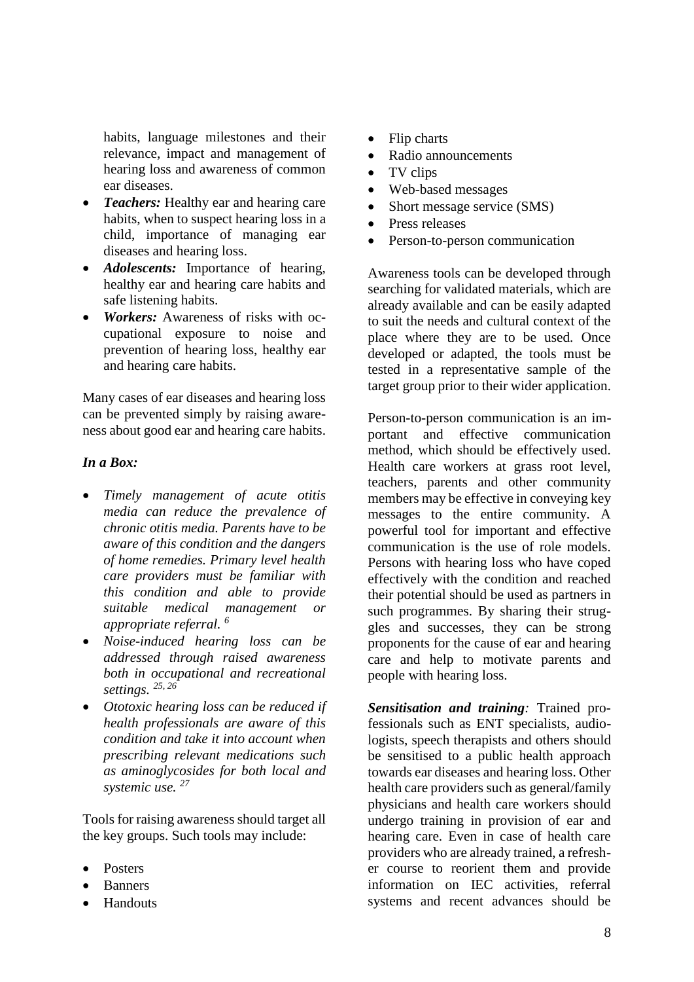habits, language milestones and their relevance, impact and management of hearing loss and awareness of common ear diseases.

- *Teachers:* Healthy ear and hearing care habits, when to suspect hearing loss in a child, importance of managing ear diseases and hearing loss.
- *Adolescents:* Importance of hearing, healthy ear and hearing care habits and safe listening habits.
- *Workers:* Awareness of risks with occupational exposure to noise and prevention of hearing loss, healthy ear and hearing care habits.

Many cases of ear diseases and hearing loss can be prevented simply by raising awareness about good ear and hearing care habits.

## *In a Box:*

- *Timely management of acute otitis media can reduce the prevalence of chronic otitis media. Parents have to be aware of this condition and the dangers of home remedies. Primary level health care providers must be familiar with this condition and able to provide suitable medical management or appropriate referral. <sup>6</sup>*
- *Noise-induced hearing loss can be addressed through raised awareness both in occupational and recreational settings. 25, 26*
- *Ototoxic hearing loss can be reduced if health professionals are aware of this condition and take it into account when prescribing relevant medications such as aminoglycosides for both local and systemic use. <sup>27</sup>*

Tools for raising awareness should target all the key groups. Such tools may include:

- **Posters**
- **Banners**
- **Handouts**
- Flip charts
- Radio announcements
- TV clips
- Web-based messages
- Short message service (SMS)
- Press releases
- Person-to-person communication

Awareness tools can be developed through searching for validated materials, which are already available and can be easily adapted to suit the needs and cultural context of the place where they are to be used. Once developed or adapted, the tools must be tested in a representative sample of the target group prior to their wider application.

Person-to-person communication is an important and effective communication method, which should be effectively used. Health care workers at grass root level, teachers, parents and other community members may be effective in conveying key messages to the entire community. A powerful tool for important and effective communication is the use of role models. Persons with hearing loss who have coped effectively with the condition and reached their potential should be used as partners in such programmes. By sharing their struggles and successes, they can be strong proponents for the cause of ear and hearing care and help to motivate parents and people with hearing loss.

*Sensitisation and training:* Trained professionals such as ENT specialists, audiologists, speech therapists and others should be sensitised to a public health approach towards ear diseases and hearing loss. Other health care providers such as general/family physicians and health care workers should undergo training in provision of ear and hearing care. Even in case of health care providers who are already trained, a refresher course to reorient them and provide information on IEC activities, referral systems and recent advances should be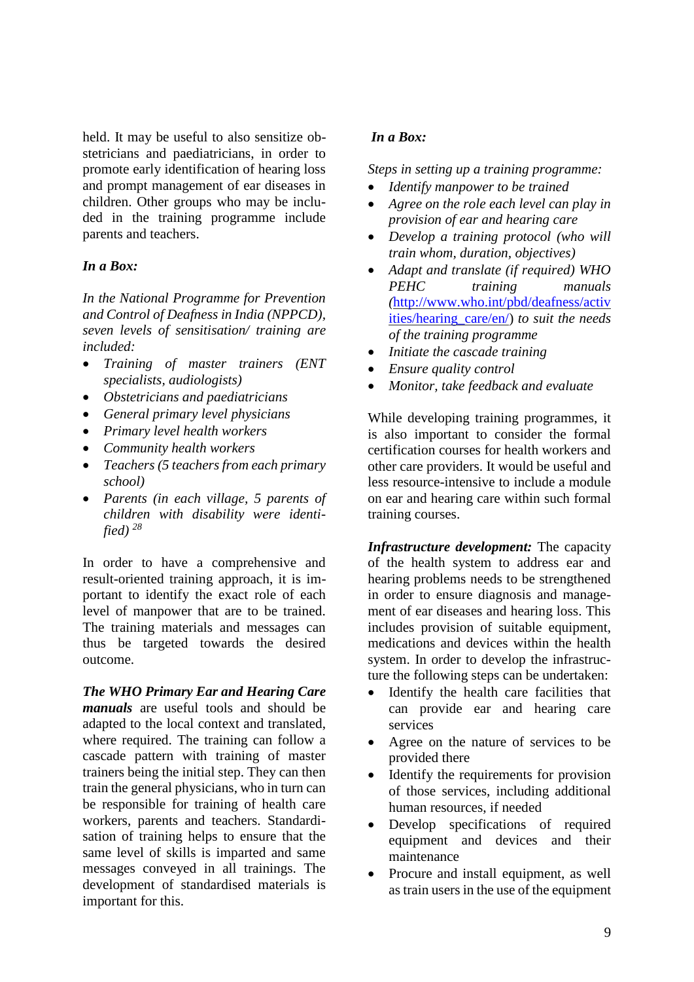held. It may be useful to also sensitize obstetricians and paediatricians, in order to promote early identification of hearing loss and prompt management of ear diseases in children. Other groups who may be included in the training programme include parents and teachers.

## *In a Box:*

*In the National Programme for Prevention and Control of Deafness in India (NPPCD), seven levels of sensitisation/ training are included:*

- *Training of master trainers (ENT specialists, audiologists)*
- *Obstetricians and paediatricians*
- *General primary level physicians*
- *Primary level health workers*
- *Community health workers*
- *Teachers (5 teachers from each primary school)*
- *Parents (in each village, 5 parents of children with disability were identified) <sup>28</sup>*

In order to have a comprehensive and result-oriented training approach, it is important to identify the exact role of each level of manpower that are to be trained. The training materials and messages can thus be targeted towards the desired outcome.

*The WHO Primary Ear and Hearing Care manuals* are useful tools and should be adapted to the local context and translated, where required. The training can follow a cascade pattern with training of master trainers being the initial step. They can then train the general physicians, who in turn can be responsible for training of health care workers, parents and teachers. Standardisation of training helps to ensure that the same level of skills is imparted and same messages conveyed in all trainings. The development of standardised materials is important for this.

## *In a Box:*

*Steps in setting up a training programme:*

- *Identify manpower to be trained*
- *Agree on the role each level can play in provision of ear and hearing care*
- *Develop a training protocol (who will train whom, duration, objectives)*
- *Adapt and translate (if required) WHO PEHC training manuals (*[http://www.who.int/pbd/deafness/activ](http://www.who.int/pbd/deafness/activities/hearing_care/en/) [ities/hearing\\_care/en/\)](http://www.who.int/pbd/deafness/activities/hearing_care/en/) *to suit the needs of the training programme*
- *Initiate the cascade training*
- *Ensure quality control*
- *Monitor, take feedback and evaluate*

While developing training programmes, it is also important to consider the formal certification courses for health workers and other care providers. It would be useful and less resource-intensive to include a module on ear and hearing care within such formal training courses.

*Infrastructure development:* The capacity of the health system to address ear and hearing problems needs to be strengthened in order to ensure diagnosis and management of ear diseases and hearing loss. This includes provision of suitable equipment, medications and devices within the health system. In order to develop the infrastructure the following steps can be undertaken:

- Identify the health care facilities that can provide ear and hearing care services
- Agree on the nature of services to be provided there
- Identify the requirements for provision of those services, including additional human resources, if needed
- Develop specifications of required equipment and devices and their maintenance
- Procure and install equipment, as well as train users in the use of the equipment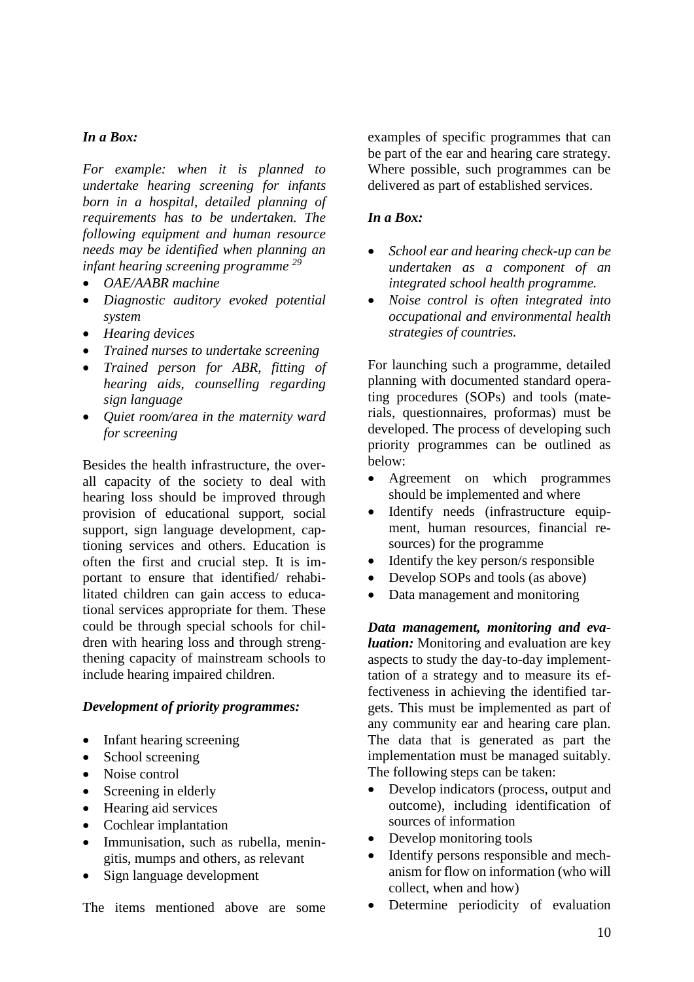## *In a Box:*

*For example: when it is planned to undertake hearing screening for infants born in a hospital, detailed planning of requirements has to be undertaken. The following equipment and human resource needs may be identified when planning an infant hearing screening programme <sup>29</sup>*

- *OAE/AABR machine*
- *Diagnostic auditory evoked potential system*
- *Hearing devices*
- *Trained nurses to undertake screening*
- *Trained person for ABR, fitting of hearing aids, counselling regarding sign language*
- *Quiet room/area in the maternity ward for screening*

Besides the health infrastructure, the overall capacity of the society to deal with hearing loss should be improved through provision of educational support, social support, sign language development, captioning services and others. Education is often the first and crucial step. It is important to ensure that identified/ rehabilitated children can gain access to educational services appropriate for them. These could be through special schools for children with hearing loss and through strengthening capacity of mainstream schools to include hearing impaired children.

#### *Development of priority programmes:*

- Infant hearing screening
- School screening
- Noise control
- Screening in elderly
- Hearing aid services
- Cochlear implantation
- Immunisation, such as rubella, meningitis, mumps and others, as relevant
- Sign language development

The items mentioned above are some

examples of specific programmes that can be part of the ear and hearing care strategy. Where possible, such programmes can be delivered as part of established services.

#### *In a Box:*

- *School ear and hearing check-up can be undertaken as a component of an integrated school health programme.*
- *Noise control is often integrated into occupational and environmental health strategies of countries.*

For launching such a programme, detailed planning with documented standard operating procedures (SOPs) and tools (materials, questionnaires, proformas) must be developed. The process of developing such priority programmes can be outlined as below:

- Agreement on which programmes should be implemented and where
- Identify needs (infrastructure equipment, human resources, financial resources) for the programme
- Identify the key person/s responsible
- Develop SOPs and tools (as above)
- Data management and monitoring

*Data management, monitoring and evaluation:* Monitoring and evaluation are key aspects to study the day-to-day implementtation of a strategy and to measure its effectiveness in achieving the identified targets. This must be implemented as part of any community ear and hearing care plan. The data that is generated as part the implementation must be managed suitably. The following steps can be taken:

- Develop indicators (process, output and outcome), including identification of sources of information
- Develop monitoring tools
- Identify persons responsible and mechanism for flow on information (who will collect, when and how)
- Determine periodicity of evaluation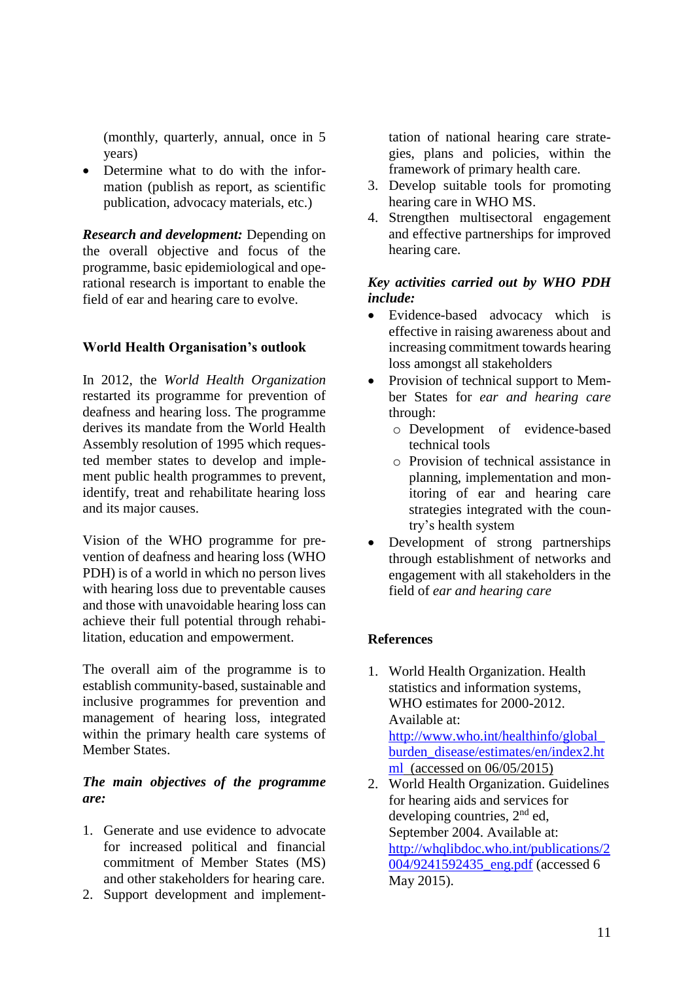(monthly, quarterly, annual, once in 5 years)

• Determine what to do with the information (publish as report, as scientific publication, advocacy materials, etc.)

*Research and development:* Depending on the overall objective and focus of the programme, basic epidemiological and operational research is important to enable the field of ear and hearing care to evolve.

## **World Health Organisation's outlook**

In 2012, the *World Health Organization* restarted its programme for prevention of deafness and hearing loss. The programme derives its mandate from the World Health Assembly resolution of 1995 which requested member states to develop and implement public health programmes to prevent, identify, treat and rehabilitate hearing loss and its major causes.

Vision of the WHO programme for prevention of deafness and hearing loss (WHO PDH) is of a world in which no person lives with hearing loss due to preventable causes and those with unavoidable hearing loss can achieve their full potential through rehabilitation, education and empowerment.

The overall aim of the programme is to establish community-based, sustainable and inclusive programmes for prevention and management of hearing loss, integrated within the primary health care systems of Member States.

## *The main objectives of the programme are:*

- 1. Generate and use evidence to advocate for increased political and financial commitment of Member States (MS) and other stakeholders for hearing care.
- 2. Support development and implement-

tation of national hearing care strategies, plans and policies, within the framework of primary health care.

- 3. Develop suitable tools for promoting hearing care in WHO MS.
- 4. Strengthen multisectoral engagement and effective partnerships for improved hearing care.

## *Key activities carried out by WHO PDH include:*

- Evidence-based advocacy which is effective in raising awareness about and increasing commitment towards hearing loss amongst all stakeholders
- Provision of technical support to Member States for *ear and hearing care* through:
	- o Development of evidence-based technical tools
	- o Provision of technical assistance in planning, implementation and monitoring of ear and hearing care strategies integrated with the country's health system
- Development of strong partnerships through establishment of networks and engagement with all stakeholders in the field of *ear and hearing care*

## **References**

- 1. World Health Organization. Health statistics and information systems, WHO estimates for 2000-2012. Available at: [http://www.who.int/healthinfo/global\\_](http://www.who.int/healthinfo/global_burden_disease/estimates/en/index2.html) [burden\\_disease/estimates/en/index2.ht](http://www.who.int/healthinfo/global_burden_disease/estimates/en/index2.html) [ml](http://www.who.int/healthinfo/global_burden_disease/estimates/en/index2.html) (accessed on 06/05/2015)
- 2. World Health Organization. Guidelines for hearing aids and services for developing countries,  $2<sup>nd</sup>$  ed, September 2004. Available at: [http://whqlibdoc.who.int/publications/2](http://whqlibdoc.who.int/publications/2004/9241592435_eng.pdf) [004/9241592435\\_eng.pdf](http://whqlibdoc.who.int/publications/2004/9241592435_eng.pdf) (accessed 6 May 2015).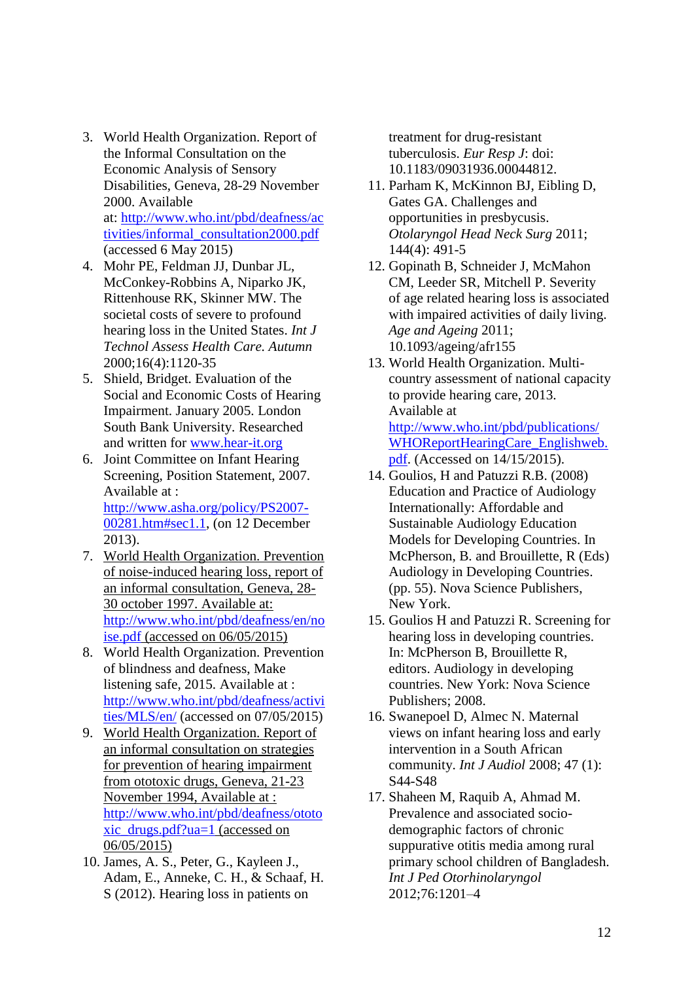- 3. World Health Organization. Report of the Informal Consultation on the Economic Analysis of Sensory Disabilities, Geneva, 28-29 November 2000. Available at: [http://www.who.int/pbd/deafness/ac](http://www.who.int/pbd/deafness/activities/informal_consultation2000.pdf) [tivities/informal\\_consultation2000.pdf](http://www.who.int/pbd/deafness/activities/informal_consultation2000.pdf) (accessed 6 May 2015)
- 4. Mohr PE, Feldman JJ, Dunbar JL, McConkey-Robbins A, Niparko JK, Rittenhouse RK, Skinner MW. The societal costs of severe to profound hearing loss in the United States. *Int J Technol Assess Health Care. Autumn* 2000;16(4):1120-35
- 5. Shield, Bridget. Evaluation of the Social and Economic Costs of Hearing Impairment. January 2005. London South Bank University. Researched and written for [www.hear-it.org](http://www.hear-it.org/)
- 6. Joint Committee on Infant Hearing Screening, Position Statement, 2007. Available at : [http://www.asha.org/policy/PS2007-](http://www.asha.org/policy/PS2007-00281.htm#sec1.1) [00281.htm#sec1.1,](http://www.asha.org/policy/PS2007-00281.htm#sec1.1) (on 12 December 2013).
- 7. World Health Organization. Prevention of noise-induced hearing loss, report of an informal consultation, Geneva, 28- 30 october 1997. Available at: [http://www.who.int/pbd/deafness/en/no](http://www.who.int/pbd/deafness/en/noise.pdf) [ise.pdf](http://www.who.int/pbd/deafness/en/noise.pdf) (accessed on 06/05/2015)
- 8. World Health Organization. Prevention of blindness and deafness, Make listening safe, 2015. Available at : [http://www.who.int/pbd/deafness/activi](http://www.who.int/pbd/deafness/activities/MLS/en/) [ties/MLS/en/](http://www.who.int/pbd/deafness/activities/MLS/en/) (accessed on 07/05/2015)
- 9. World Health Organization. Report of an informal consultation on strategies for prevention of hearing impairment from ototoxic drugs, Geneva, 21-23 November 1994, Available at : [http://www.who.int/pbd/deafness/ototo](http://www.who.int/pbd/deafness/ototoxic_drugs.pdf?ua=1) [xic\\_drugs.pdf?ua=1](http://www.who.int/pbd/deafness/ototoxic_drugs.pdf?ua=1) (accessed on 06/05/2015)
- 10. James, A. S., Peter, G., Kayleen J., Adam, E., Anneke, C. H., & Schaaf, H. S (2012). Hearing loss in patients on

treatment for drug-resistant tuberculosis. *Eur Resp J*: doi: 10.1183/09031936.00044812.

- 11. Parham K, McKinnon BJ, Eibling D, Gates GA. Challenges and opportunities in presbycusis. *Otolaryngol Head Neck Surg* 2011; 144(4): 491-5
- 12. Gopinath B, Schneider J, McMahon CM, Leeder SR, Mitchell P. Severity of age related hearing loss is associated with impaired activities of daily living. *Age and Ageing* 2011; 10.1093/ageing/afr155
- 13. World Health Organization. Multicountry assessment of national capacity to provide hearing care, 2013. Available at [http://www.who.int/pbd/publications/](http://www.who.int/pbd/publications/WHOReportHearingCare_Englishweb.pdf) [WHOReportHearingCare\\_Englishweb.](http://www.who.int/pbd/publications/WHOReportHearingCare_Englishweb.pdf) [pdf.](http://www.who.int/pbd/publications/WHOReportHearingCare_Englishweb.pdf) (Accessed on 14/15/2015).
- 14. Goulios, H and Patuzzi R.B. (2008) Education and Practice of Audiology Internationally: Affordable and Sustainable Audiology Education Models for Developing Countries. In McPherson, B. and Brouillette, R (Eds) Audiology in Developing Countries. (pp. 55). Nova Science Publishers, New York.
- 15. Goulios H and Patuzzi R. Screening for hearing loss in developing countries. In: McPherson B, Brouillette R, editors. Audiology in developing countries. New York: Nova Science Publishers; 2008.
- 16. Swanepoel D, Almec N. Maternal views on infant hearing loss and early intervention in a South African community. *Int J Audiol* 2008; 47 (1): S44-S48
- 17. Shaheen M, Raquib A, Ahmad M. Prevalence and associated sociodemographic factors of chronic suppurative otitis media among rural primary school children of Bangladesh. *Int J Ped Otorhinolaryngol* 2012;76:1201–4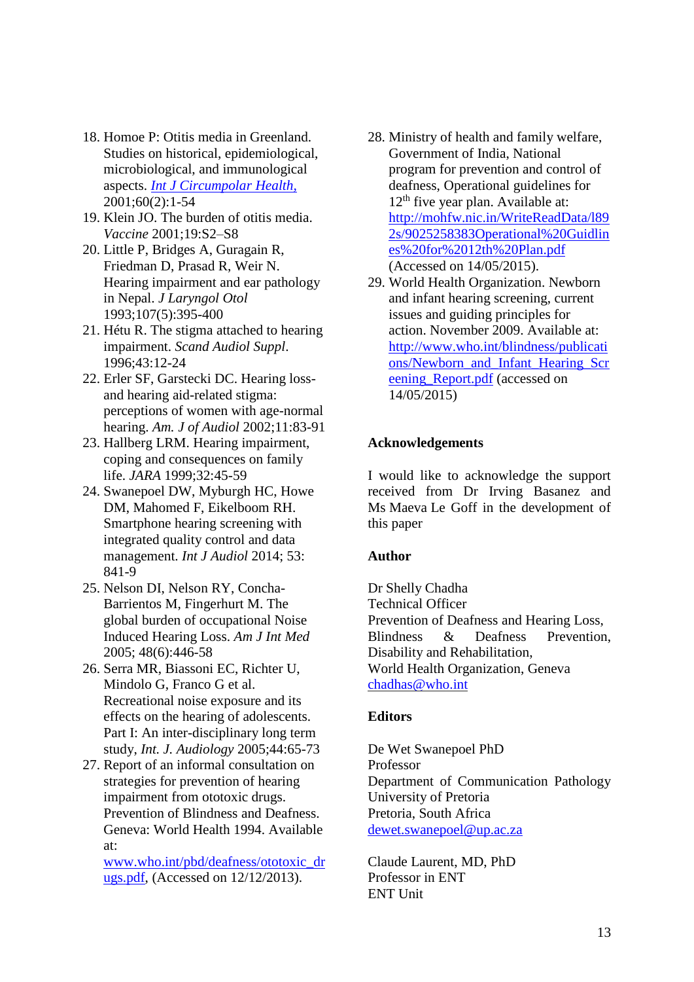- 18. Homoe P: Otitis media in Greenland. Studies on historical, epidemiological, microbiological, and immunological aspects. *[Int J Circumpolar Health,](http://www.ncbi.nlm.nih.gov/pubmed/11725622)* 2001;60(2):1-54
- 19. Klein JO. The burden of otitis media. *Vaccine* 2001;19:S2–S8
- 20. Little P, Bridges A, Guragain R, Friedman D, Prasad R, Weir N. Hearing impairment and ear pathology in Nepal. *J Laryngol Otol* 1993;107(5):395-400
- 21. Hétu R. The stigma attached to hearing impairment. *Scand Audiol Suppl*. 1996;43:12-24
- 22. Erler SF, Garstecki DC. Hearing lossand hearing aid-related stigma: perceptions of women with age-normal hearing. *Am. J of Audiol* 2002;11:83-91
- 23. Hallberg LRM. Hearing impairment, coping and consequences on family life. *JARA* 1999;32:45-59
- 24. Swanepoel DW, Myburgh HC, Howe DM, Mahomed F, Eikelboom RH. Smartphone hearing screening with integrated quality control and data management. *Int J Audiol* 2014; 53: 841-9
- 25. Nelson DI, Nelson RY, Concha-Barrientos M, Fingerhurt M. The global burden of occupational Noise Induced Hearing Loss. *Am J Int Med* 2005; 48(6):446-58
- 26. Serra MR, Biassoni EC, Richter U, Mindolo G, Franco G et al. Recreational noise exposure and its effects on the hearing of adolescents. Part I: An inter-disciplinary long term study, *Int. J. Audiology* 2005;44:65-73
- 27. Report of an informal consultation on strategies for prevention of hearing impairment from ototoxic drugs. Prevention of Blindness and Deafness. Geneva: World Health 1994. Available at:

[www.who.int/pbd/deafness/ototoxic\\_dr](http://www.who.int/pbd/deafness/ototoxic_drugs.pdf) [ugs.pdf,](http://www.who.int/pbd/deafness/ototoxic_drugs.pdf) (Accessed on 12/12/2013).

- 28. Ministry of health and family welfare, Government of India, National program for prevention and control of deafness, Operational guidelines for  $12<sup>th</sup>$  five year plan. Available at: [http://mohfw.nic.in/WriteReadData/l89](http://mohfw.nic.in/WriteReadData/l892s/9025258383Operational%20Guidlines%20for%2012th%20Plan.pdf) [2s/9025258383Operational%20Guidlin](http://mohfw.nic.in/WriteReadData/l892s/9025258383Operational%20Guidlines%20for%2012th%20Plan.pdf) [es%20for%2012th%20Plan.pdf](http://mohfw.nic.in/WriteReadData/l892s/9025258383Operational%20Guidlines%20for%2012th%20Plan.pdf) (Accessed on 14/05/2015).
- 29. World Health Organization. Newborn and infant hearing screening, current issues and guiding principles for action. November 2009. Available at: [http://www.who.int/blindness/publicati](http://www.who.int/blindness/publications/Newborn_and_Infant_Hearing_Screening_Report.pdf) [ons/Newborn\\_and\\_Infant\\_Hearing\\_Scr](http://www.who.int/blindness/publications/Newborn_and_Infant_Hearing_Screening_Report.pdf) [eening\\_Report.pdf](http://www.who.int/blindness/publications/Newborn_and_Infant_Hearing_Screening_Report.pdf) (accessed on 14/05/2015)

## **Acknowledgements**

I would like to acknowledge the support received from Dr Irving Basanez and Ms Maeva Le Goff in the development of this paper

#### **Author**

Dr Shelly Chadha Technical Officer Prevention of Deafness and Hearing Loss, Blindness & Deafness Prevention, Disability and Rehabilitation, World Health Organization, Geneva [chadhas@who.int](mailto:chadhas@who.int)

#### **Editors**

De Wet Swanepoel PhD Professor Department of Communication Pathology University of Pretoria Pretoria, South Africa [dewet.swanepoel@up.ac.za](mailto:dewet.swanepoel@up.ac.za)

Claude Laurent, MD, PhD Professor in ENT ENT Unit